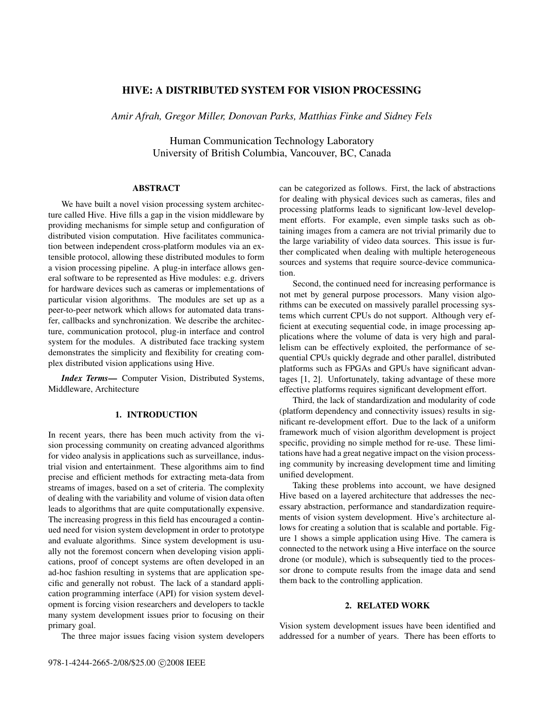# HIVE: A DISTRIBUTED SYSTEM FOR VISION PROCESSING

*Amir Afrah, Gregor Miller, Donovan Parks, Matthias Finke and Sidney Fels*

Human Communication Technology Laboratory University of British Columbia, Vancouver, BC, Canada

## ABSTRACT

We have built a novel vision processing system architecture called Hive. Hive fills a gap in the vision middleware by providing mechanisms for simple setup and configuration of distributed vision computation. Hive facilitates communication between independent cross-platform modules via an extensible protocol, allowing these distributed modules to form a vision processing pipeline. A plug-in interface allows general software to be represented as Hive modules: e.g. drivers for hardware devices such as cameras or implementations of particular vision algorithms. The modules are set up as a peer-to-peer network which allows for automated data transfer, callbacks and synchronization. We describe the architecture, communication protocol, plug-in interface and control system for the modules. A distributed face tracking system demonstrates the simplicity and flexibility for creating complex distributed vision applications using Hive.

*Index Terms*— Computer Vision, Distributed Systems, Middleware, Architecture

## 1. INTRODUCTION

In recent years, there has been much activity from the vision processing community on creating advanced algorithms for video analysis in applications such as surveillance, industrial vision and entertainment. These algorithms aim to find precise and efficient methods for extracting meta-data from streams of images, based on a set of criteria. The complexity of dealing with the variability and volume of vision data often leads to algorithms that are quite computationally expensive. The increasing progress in this field has encouraged a continued need for vision system development in order to prototype and evaluate algorithms. Since system development is usually not the foremost concern when developing vision applications, proof of concept systems are often developed in an ad-hoc fashion resulting in systems that are application specific and generally not robust. The lack of a standard application programming interface (API) for vision system development is forcing vision researchers and developers to tackle many system development issues prior to focusing on their primary goal.

The three major issues facing vision system developers

can be categorized as follows. First, the lack of abstractions for dealing with physical devices such as cameras, files and processing platforms leads to significant low-level development efforts. For example, even simple tasks such as obtaining images from a camera are not trivial primarily due to the large variability of video data sources. This issue is further complicated when dealing with multiple heterogeneous sources and systems that require source-device communication.

Second, the continued need for increasing performance is not met by general purpose processors. Many vision algorithms can be executed on massively parallel processing systems which current CPUs do not support. Although very efficient at executing sequential code, in image processing applications where the volume of data is very high and parallelism can be effectively exploited, the performance of sequential CPUs quickly degrade and other parallel, distributed platforms such as FPGAs and GPUs have significant advantages [1, 2]. Unfortunately, taking advantage of these more effective platforms requires significant development effort.

Third, the lack of standardization and modularity of code (platform dependency and connectivity issues) results in significant re-development effort. Due to the lack of a uniform framework much of vision algorithm development is project specific, providing no simple method for re-use. These limitations have had a great negative impact on the vision processing community by increasing development time and limiting unified development.

Taking these problems into account, we have designed Hive based on a layered architecture that addresses the necessary abstraction, performance and standardization requirements of vision system development. Hive's architecture allows for creating a solution that is scalable and portable. Figure 1 shows a simple application using Hive. The camera is connected to the network using a Hive interface on the source drone (or module), which is subsequently tied to the processor drone to compute results from the image data and send them back to the controlling application.

## 2. RELATED WORK

Vision system development issues have been identified and addressed for a number of years. There has been efforts to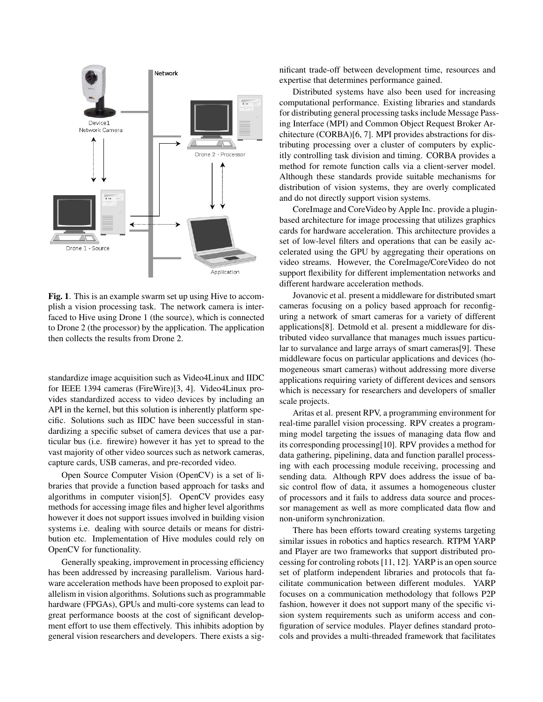

Fig. 1. This is an example swarm set up using Hive to accomplish a vision processing task. The network camera is interfaced to Hive using Drone 1 (the source), which is connected to Drone 2 (the processor) by the application. The application then collects the results from Drone 2.

standardize image acquisition such as Video4Linux and IIDC for IEEE 1394 cameras (FireWire)[3, 4]. Video4Linux provides standardized access to video devices by including an API in the kernel, but this solution is inherently platform specific. Solutions such as IIDC have been successful in standardizing a specific subset of camera devices that use a particular bus (i.e. firewire) however it has yet to spread to the vast majority of other video sources such as network cameras, capture cards, USB cameras, and pre-recorded video.

Open Source Computer Vision (OpenCV) is a set of libraries that provide a function based approach for tasks and algorithms in computer vision[5]. OpenCV provides easy methods for accessing image files and higher level algorithms however it does not support issues involved in building vision systems i.e. dealing with source details or means for distribution etc. Implementation of Hive modules could rely on OpenCV for functionality.

Generally speaking, improvement in processing efficiency has been addressed by increasing parallelism. Various hardware acceleration methods have been proposed to exploit parallelism in vision algorithms. Solutions such as programmable hardware (FPGAs), GPUs and multi-core systems can lead to great performance boosts at the cost of significant development effort to use them effectively. This inhibits adoption by general vision researchers and developers. There exists a significant trade-off between development time, resources and expertise that determines performance gained.

Distributed systems have also been used for increasing computational performance. Existing libraries and standards for distributing general processing tasks include Message Passing Interface (MPI) and Common Object Request Broker Architecture (CORBA)[6, 7]. MPI provides abstractions for distributing processing over a cluster of computers by explicitly controlling task division and timing. CORBA provides a method for remote function calls via a client-server model. Although these standards provide suitable mechanisms for distribution of vision systems, they are overly complicated and do not directly support vision systems.

CoreImage and CoreVideo by Apple Inc. provide a pluginbased architecture for image processing that utilizes graphics cards for hardware acceleration. This architecture provides a set of low-level filters and operations that can be easily accelerated using the GPU by aggregating their operations on video streams. However, the CoreImage/CoreVideo do not support flexibility for different implementation networks and different hardware acceleration methods.

Jovanovic et al. present a middleware for distributed smart cameras focusing on a policy based approach for reconfiguring a network of smart cameras for a variety of different applications[8]. Detmold et al. present a middleware for distributed video survallance that manages much issues particular to survalance and large arrays of smart cameras[9]. These middleware focus on particular applications and devices (homogeneous smart cameras) without addressing more diverse applications requiring variety of different devices and sensors which is necessary for researchers and developers of smaller scale projects.

Aritas et al. present RPV, a programming environment for real-time parallel vision processing. RPV creates a programming model targeting the issues of managing data flow and its corresponding processing[10]. RPV provides a method for data gathering, pipelining, data and function parallel processing with each processing module receiving, processing and sending data. Although RPV does address the issue of basic control flow of data, it assumes a homogeneous cluster of processors and it fails to address data source and processor management as well as more complicated data flow and non-uniform synchronization.

There has been efforts toward creating systems targeting similar issues in robotics and haptics research. RTPM YARP and Player are two frameworks that support distributed processing for controling robots [11, 12]. YARP is an open source set of platform independent libraries and protocols that facilitate communication between different modules. YARP focuses on a communication methodology that follows P2P fashion, however it does not support many of the specific vision system requirements such as uniform access and configuration of service modules. Player defines standard protocols and provides a multi-threaded framework that facilitates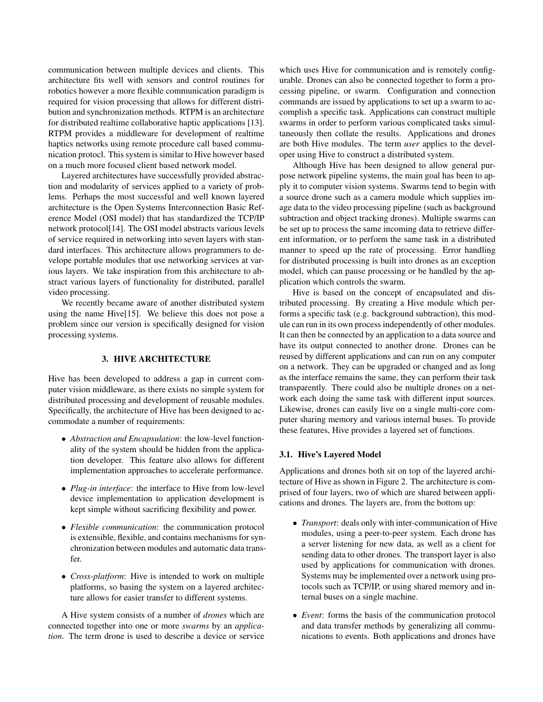communication between multiple devices and clients. This architecture fits well with sensors and control routines for robotics however a more flexible communication paradigm is required for vision processing that allows for different distribution and synchronization methods. RTPM is an architecture for distributed realtime collaborative haptic applications [13]. RTPM provides a middleware for development of realtime haptics networks using remote procedure call based communication protocl. This system is similar to Hive however based on a much more focused client based network model.

Layered architectures have successfully provided abstraction and modularity of services applied to a variety of problems. Perhaps the most successful and well known layered architecture is the Open Systems Interconnection Basic Reference Model (OSI model) that has standardized the TCP/IP network protocol[14]. The OSI model abstracts various levels of service required in networking into seven layers with standard interfaces. This architecture allows programmers to develope portable modules that use networking services at various layers. We take inspiration from this architecture to abstract various layers of functionality for distributed, parallel video processing.

We recently became aware of another distributed system using the name Hive[15]. We believe this does not pose a problem since our version is specifically designed for vision processing systems.

### 3. HIVE ARCHITECTURE

Hive has been developed to address a gap in current computer vision middleware, as there exists no simple system for distributed processing and development of reusable modules. Specifically, the architecture of Hive has been designed to accommodate a number of requirements:

- *Abstraction and Encapsulation*: the low-level functionality of the system should be hidden from the application developer. This feature also allows for different implementation approaches to accelerate performance.
- *Plug-in interface*: the interface to Hive from low-level device implementation to application development is kept simple without sacrificing flexibility and power.
- *Flexible communication*: the communication protocol is extensible, flexible, and contains mechanisms for synchronization between modules and automatic data transfer.
- *Cross-platform*: Hive is intended to work on multiple platforms, so basing the system on a layered architecture allows for easier transfer to different systems.

A Hive system consists of a number of *drones* which are connected together into one or more *swarms* by an *application*. The term drone is used to describe a device or service which uses Hive for communication and is remotely configurable. Drones can also be connected together to form a processing pipeline, or swarm. Configuration and connection commands are issued by applications to set up a swarm to accomplish a specific task. Applications can construct multiple swarms in order to perform various complicated tasks simultaneously then collate the results. Applications and drones are both Hive modules. The term *user* applies to the developer using Hive to construct a distributed system.

Although Hive has been designed to allow general purpose network pipeline systems, the main goal has been to apply it to computer vision systems. Swarms tend to begin with a source drone such as a camera module which supplies image data to the video processing pipeline (such as background subtraction and object tracking drones). Multiple swarms can be set up to process the same incoming data to retrieve different information, or to perform the same task in a distributed manner to speed up the rate of processing. Error handling for distributed processing is built into drones as an exception model, which can pause processing or be handled by the application which controls the swarm.

Hive is based on the concept of encapsulated and distributed processing. By creating a Hive module which performs a specific task (e.g. background subtraction), this module can run in its own process independently of other modules. It can then be connected by an application to a data source and have its output connected to another drone. Drones can be reused by different applications and can run on any computer on a network. They can be upgraded or changed and as long as the interface remains the same, they can perform their task transparently. There could also be multiple drones on a network each doing the same task with different input sources. Likewise, drones can easily live on a single multi-core computer sharing memory and various internal buses. To provide these features, Hive provides a layered set of functions.

#### 3.1. Hive's Layered Model

Applications and drones both sit on top of the layered architecture of Hive as shown in Figure 2. The architecture is comprised of four layers, two of which are shared between applications and drones. The layers are, from the bottom up:

- *Transport*: deals only with inter-communication of Hive modules, using a peer-to-peer system. Each drone has a server listening for new data, as well as a client for sending data to other drones. The transport layer is also used by applications for communication with drones. Systems may be implemented over a network using protocols such as TCP/IP, or using shared memory and internal buses on a single machine.
- *Event*: forms the basis of the communication protocol and data transfer methods by generalizing all communications to events. Both applications and drones have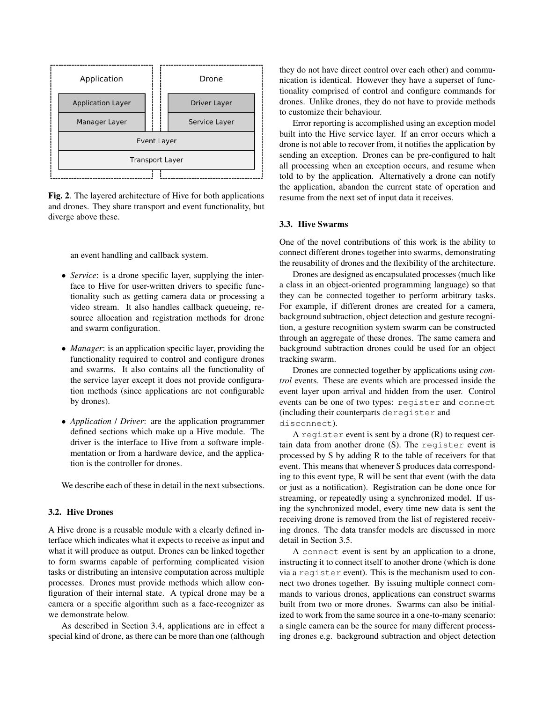

Fig. 2. The layered architecture of Hive for both applications and drones. They share transport and event functionality, but diverge above these.

an event handling and callback system.

- *Service*: is a drone specific layer, supplying the interface to Hive for user-written drivers to specific functionality such as getting camera data or processing a video stream. It also handles callback queueing, resource allocation and registration methods for drone and swarm configuration.
- *Manager*: is an application specific layer, providing the functionality required to control and configure drones and swarms. It also contains all the functionality of the service layer except it does not provide configuration methods (since applications are not configurable by drones).
- *Application* / *Driver*: are the application programmer defined sections which make up a Hive module. The driver is the interface to Hive from a software implementation or from a hardware device, and the application is the controller for drones.

We describe each of these in detail in the next subsections.

## 3.2. Hive Drones

A Hive drone is a reusable module with a clearly defined interface which indicates what it expects to receive as input and what it will produce as output. Drones can be linked together to form swarms capable of performing complicated vision tasks or distributing an intensive computation across multiple processes. Drones must provide methods which allow configuration of their internal state. A typical drone may be a camera or a specific algorithm such as a face-recognizer as we demonstrate below.

As described in Section 3.4, applications are in effect a special kind of drone, as there can be more than one (although they do not have direct control over each other) and communication is identical. However they have a superset of functionality comprised of control and configure commands for drones. Unlike drones, they do not have to provide methods to customize their behaviour.

Error reporting is accomplished using an exception model built into the Hive service layer. If an error occurs which a drone is not able to recover from, it notifies the application by sending an exception. Drones can be pre-configured to halt all processing when an exception occurs, and resume when told to by the application. Alternatively a drone can notify the application, abandon the current state of operation and resume from the next set of input data it receives.

## 3.3. Hive Swarms

One of the novel contributions of this work is the ability to connect different drones together into swarms, demonstrating the reusability of drones and the flexibility of the architecture.

Drones are designed as encapsulated processes (much like a class in an object-oriented programming language) so that they can be connected together to perform arbitrary tasks. For example, if different drones are created for a camera, background subtraction, object detection and gesture recognition, a gesture recognition system swarm can be constructed through an aggregate of these drones. The same camera and background subtraction drones could be used for an object tracking swarm.

Drones are connected together by applications using *control* events. These are events which are processed inside the event layer upon arrival and hidden from the user. Control events can be one of two types: register and connect (including their counterparts deregister and disconnect).

A register event is sent by a drone (R) to request certain data from another drone (S). The register event is processed by S by adding R to the table of receivers for that event. This means that whenever S produces data corresponding to this event type, R will be sent that event (with the data or just as a notification). Registration can be done once for streaming, or repeatedly using a synchronized model. If using the synchronized model, every time new data is sent the receiving drone is removed from the list of registered receiving drones. The data transfer models are discussed in more detail in Section 3.5.

A connect event is sent by an application to a drone, instructing it to connect itself to another drone (which is done via a register event). This is the mechanism used to connect two drones together. By issuing multiple connect commands to various drones, applications can construct swarms built from two or more drones. Swarms can also be initialized to work from the same source in a one-to-many scenario: a single camera can be the source for many different processing drones e.g. background subtraction and object detection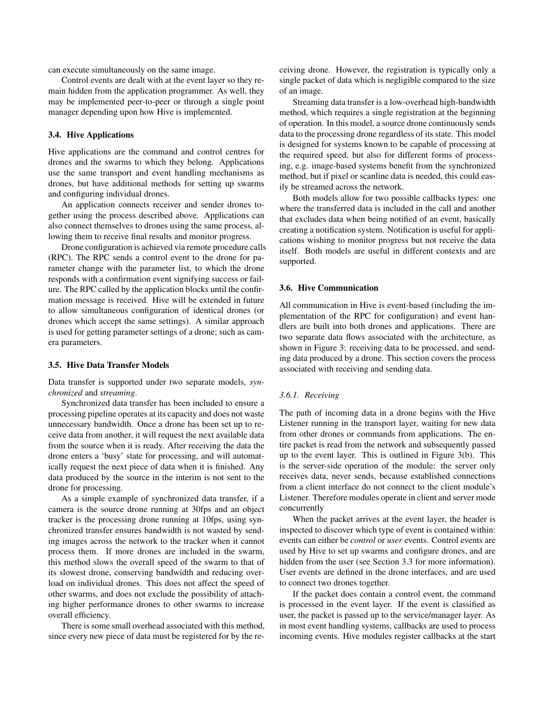can execute simultaneously on the same image.

Control events are dealt with at the event layer so they remain hidden from the application programmer. As well, they may be implemented peer-to-peer or through a single point manager depending upon how Hive is implemented.

## 3.4. Hive Applications

Hive applications are the command and control centres for drones and the swarms to which they belong. Applications use the same transport and event handling mechanisms as drones, but have additional methods for setting up swarms and configuring individual drones.

An application connects receiver and sender drones together using the process described above. Applications can also connect themselves to drones using the same process, allowing them to receive final results and monitor progress.

Drone configuration is achieved via remote procedure calls (RPC). The RPC sends a control event to the drone for parameter change with the parameter list, to which the drone responds with a confirmation event signifying success or failure. The RPC called by the application blocks until the confirmation message is received. Hive will be extended in future to allow simultaneous configuration of identical drones (or drones which accept the same settings). A similar approach is used for getting parameter settings of a drone; such as camera parameters.

## 3.5. Hive Data Transfer Models

Data transfer is supported under two separate models, *synchronized* and *streaming*.

Synchronized data transfer has been included to ensure a processing pipeline operates at its capacity and does not waste unnecessary bandwidth. Once a drone has been set up to receive data from another, it will request the next available data from the source when it is ready. After receiving the data the drone enters a 'busy' state for processing, and will automatically request the next piece of data when it is finished. Any data produced by the source in the interim is not sent to the drone for processing.

As a simple example of synchronized data transfer, if a camera is the source drone running at 30fps and an object tracker is the processing drone running at 10fps, using synchronized transfer ensures bandwidth is not wasted by sending images across the network to the tracker when it cannot process them. If more drones are included in the swarm, this method slows the overall speed of the swarm to that of its slowest drone, conserving bandwidth and reducing overload on individual drones. This does not affect the speed of other swarms, and does not exclude the possibility of attaching higher performance drones to other swarms to increase overall efficiency.

There is some small overhead associated with this method, since every new piece of data must be registered for by the receiving drone. However, the registration is typically only a single packet of data which is negligible compared to the size of an image.

Streaming data transfer is a low-overhead high-bandwidth method, which requires a single registration at the beginning of operation. In this model, a source drone continuously sends data to the processing drone regardless of its state. This model is designed for systems known to be capable of processing at the required speed, but also for different forms of processing, e.g. image-based systems benefit from the synchronized method, but if pixel or scanline data is needed, this could easily be streamed across the network.

Both models allow for two possible callbacks types: one where the transferred data is included in the call and another that excludes data when being notified of an event, basically creating a notification system. Notification is useful for applications wishing to monitor progress but not receive the data itself. Both models are useful in different contexts and are supported.

## 3.6. Hive Communication

All communication in Hive is event-based (including the implementation of the RPC for configuration) and event handlers are built into both drones and applications. There are two separate data flows associated with the architecture, as shown in Figure 3: receiving data to be processed, and sending data produced by a drone. This section covers the process associated with receiving and sending data.

## *3.6.1. Receiving*

The path of incoming data in a drone begins with the Hive Listener running in the transport layer, waiting for new data from other drones or commands from applications. The entire packet is read from the network and subsequently passed up to the event layer. This is outlined in Figure 3(b). This is the server-side operation of the module: the server only receives data, never sends, because established connections from a client interface do not connect to the client module's Listener. Therefore modules operate in client and server mode concurrently

When the packet arrives at the event layer, the header is inspected to discover which type of event is contained within: events can either be *control* or *user* events. Control events are used by Hive to set up swarms and configure drones, and are hidden from the user (see Section 3.3 for more information). User events are defined in the drone interfaces, and are used to connect two drones together.

If the packet does contain a control event, the command is processed in the event layer. If the event is classified as user, the packet is passed up to the service/manager layer. As in most event handling systems, callbacks are used to process incoming events. Hive modules register callbacks at the start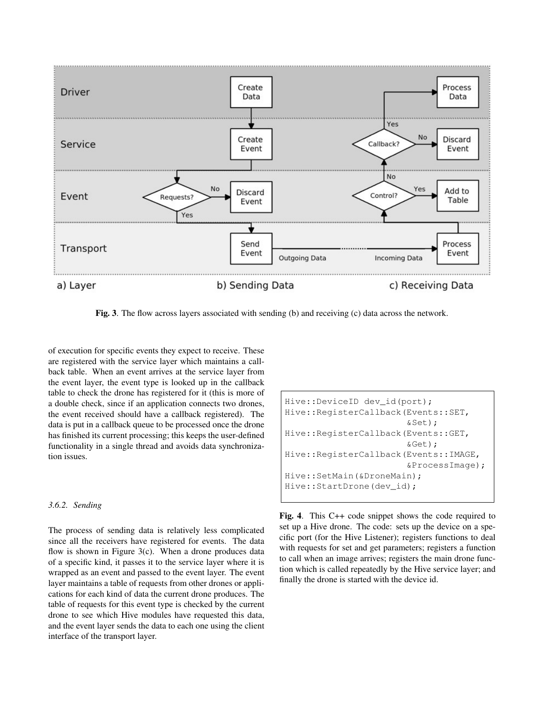

Fig. 3. The flow across layers associated with sending (b) and receiving (c) data across the network.

of execution for specific events they expect to receive. These are registered with the service layer which maintains a callback table. When an event arrives at the service layer from the event layer, the event type is looked up in the callback table to check the drone has registered for it (this is more of a double check, since if an application connects two drones, the event received should have a callback registered). The data is put in a callback queue to be processed once the drone has finished its current processing; this keeps the user-defined functionality in a single thread and avoids data synchronization issues.

#### *3.6.2. Sending*

The process of sending data is relatively less complicated since all the receivers have registered for events. The data flow is shown in Figure  $3(c)$ . When a drone produces data of a specific kind, it passes it to the service layer where it is wrapped as an event and passed to the event layer. The event layer maintains a table of requests from other drones or applications for each kind of data the current drone produces. The table of requests for this event type is checked by the current drone to see which Hive modules have requested this data, and the event layer sends the data to each one using the client interface of the transport layer.

```
Hive::DeviceID dev_id(port);
Hive::RegisterCallback(Events::SET,
                        &Set);
Hive::RegisterCallback(Events::GET,
                        &Get);
Hive::RegisterCallback(Events::IMAGE,
                        &ProcessImage);
Hive::SetMain(&DroneMain);
Hive::StartDrone(dev_id);
```
Fig. 4. This C++ code snippet shows the code required to set up a Hive drone. The code: sets up the device on a specific port (for the Hive Listener); registers functions to deal with requests for set and get parameters; registers a function to call when an image arrives; registers the main drone function which is called repeatedly by the Hive service layer; and finally the drone is started with the device id.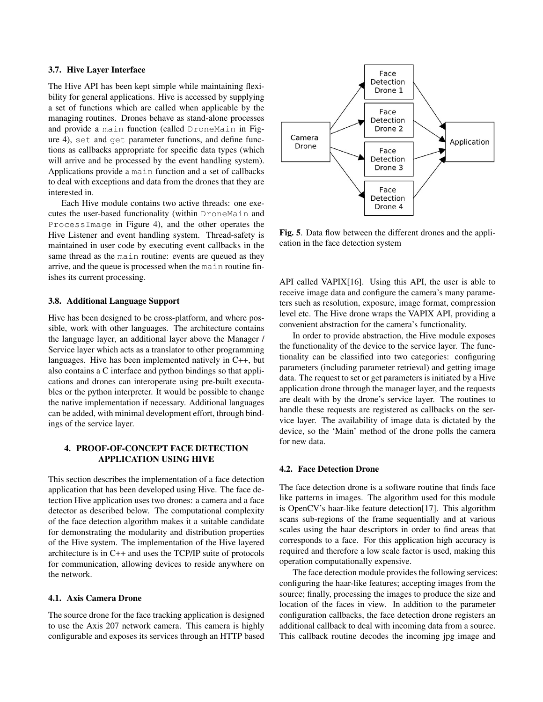#### 3.7. Hive Layer Interface

The Hive API has been kept simple while maintaining flexibility for general applications. Hive is accessed by supplying a set of functions which are called when applicable by the managing routines. Drones behave as stand-alone processes and provide a main function (called DroneMain in Figure 4), set and get parameter functions, and define functions as callbacks appropriate for specific data types (which will arrive and be processed by the event handling system). Applications provide a main function and a set of callbacks to deal with exceptions and data from the drones that they are interested in.

Each Hive module contains two active threads: one executes the user-based functionality (within DroneMain and ProcessImage in Figure 4), and the other operates the Hive Listener and event handling system. Thread-safety is maintained in user code by executing event callbacks in the same thread as the main routine: events are queued as they arrive, and the queue is processed when the main routine finishes its current processing.

## 3.8. Additional Language Support

Hive has been designed to be cross-platform, and where possible, work with other languages. The architecture contains the language layer, an additional layer above the Manager / Service layer which acts as a translator to other programming languages. Hive has been implemented natively in C++, but also contains a C interface and python bindings so that applications and drones can interoperate using pre-built executables or the python interpreter. It would be possible to change the native implementation if necessary. Additional languages can be added, with minimal development effort, through bindings of the service layer.

## 4. PROOF-OF-CONCEPT FACE DETECTION APPLICATION USING HIVE

This section describes the implementation of a face detection application that has been developed using Hive. The face detection Hive application uses two drones: a camera and a face detector as described below. The computational complexity of the face detection algorithm makes it a suitable candidate for demonstrating the modularity and distribution properties of the Hive system. The implementation of the Hive layered architecture is in C++ and uses the TCP/IP suite of protocols for communication, allowing devices to reside anywhere on the network.

## 4.1. Axis Camera Drone

The source drone for the face tracking application is designed to use the Axis 207 network camera. This camera is highly configurable and exposes its services through an HTTP based



Fig. 5. Data flow between the different drones and the application in the face detection system

API called VAPIX[16]. Using this API, the user is able to receive image data and configure the camera's many parameters such as resolution, exposure, image format, compression level etc. The Hive drone wraps the VAPIX API, providing a convenient abstraction for the camera's functionality.

In order to provide abstraction, the Hive module exposes the functionality of the device to the service layer. The functionality can be classified into two categories: configuring parameters (including parameter retrieval) and getting image data. The request to set or get parameters is initiated by a Hive application drone through the manager layer, and the requests are dealt with by the drone's service layer. The routines to handle these requests are registered as callbacks on the service layer. The availability of image data is dictated by the device, so the 'Main' method of the drone polls the camera for new data.

## 4.2. Face Detection Drone

The face detection drone is a software routine that finds face like patterns in images. The algorithm used for this module is OpenCV's haar-like feature detection[17]. This algorithm scans sub-regions of the frame sequentially and at various scales using the haar descriptors in order to find areas that corresponds to a face. For this application high accuracy is required and therefore a low scale factor is used, making this operation computationally expensive.

The face detection module provides the following services: configuring the haar-like features; accepting images from the source; finally, processing the images to produce the size and location of the faces in view. In addition to the parameter configuration callbacks, the face detection drone registers an additional callback to deal with incoming data from a source. This callback routine decodes the incoming jpg image and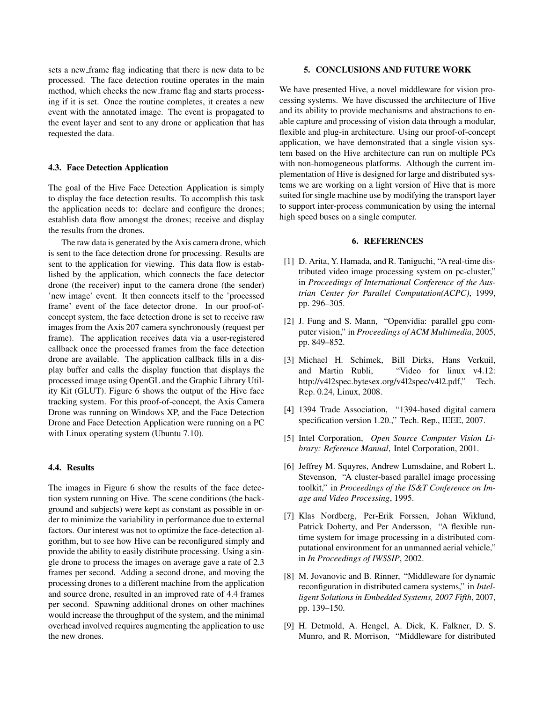sets a new frame flag indicating that there is new data to be processed. The face detection routine operates in the main method, which checks the new frame flag and starts processing if it is set. Once the routine completes, it creates a new event with the annotated image. The event is propagated to the event layer and sent to any drone or application that has requested the data.

#### 4.3. Face Detection Application

The goal of the Hive Face Detection Application is simply to display the face detection results. To accomplish this task the application needs to: declare and configure the drones; establish data flow amongst the drones; receive and display the results from the drones.

The raw data is generated by the Axis camera drone, which is sent to the face detection drone for processing. Results are sent to the application for viewing. This data flow is established by the application, which connects the face detector drone (the receiver) input to the camera drone (the sender) 'new image' event. It then connects itself to the 'processed frame' event of the face detector drone. In our proof-ofconcept system, the face detection drone is set to receive raw images from the Axis 207 camera synchronously (request per frame). The application receives data via a user-registered callback once the processed frames from the face detection drone are available. The application callback fills in a display buffer and calls the display function that displays the processed image using OpenGL and the Graphic Library Utility Kit (GLUT). Figure 6 shows the output of the Hive face tracking system. For this proof-of-concept, the Axis Camera Drone was running on Windows XP, and the Face Detection Drone and Face Detection Application were running on a PC with Linux operating system (Ubuntu 7.10).

#### 4.4. Results

The images in Figure 6 show the results of the face detection system running on Hive. The scene conditions (the background and subjects) were kept as constant as possible in order to minimize the variability in performance due to external factors. Our interest was not to optimize the face-detection algorithm, but to see how Hive can be reconfigured simply and provide the ability to easily distribute processing. Using a single drone to process the images on average gave a rate of 2.3 frames per second. Adding a second drone, and moving the processing drones to a different machine from the application and source drone, resulted in an improved rate of 4.4 frames per second. Spawning additional drones on other machines would increase the throughput of the system, and the minimal overhead involved requires augmenting the application to use the new drones.

## 5. CONCLUSIONS AND FUTURE WORK

We have presented Hive, a novel middleware for vision processing systems. We have discussed the architecture of Hive and its ability to provide mechanisms and abstractions to enable capture and processing of vision data through a modular, flexible and plug-in architecture. Using our proof-of-concept application, we have demonstrated that a single vision system based on the Hive architecture can run on multiple PCs with non-homogeneous platforms. Although the current implementation of Hive is designed for large and distributed systems we are working on a light version of Hive that is more suited for single machine use by modifying the transport layer to support inter-process communication by using the internal high speed buses on a single computer.

#### 6. REFERENCES

- [1] D. Arita, Y. Hamada, and R. Taniguchi, "A real-time distributed video image processing system on pc-cluster," in *Proceedings of International Conference of the Austrian Center for Parallel Computation(ACPC)*, 1999, pp. 296–305.
- [2] J. Fung and S. Mann, "Openvidia: parallel gpu computer vision," in *Proceedings of ACM Multimedia*, 2005, pp. 849–852.
- [3] Michael H. Schimek, Bill Dirks, Hans Verkuil, and Martin Rubli, "Video for linux v4.12: http://v4l2spec.bytesex.org/v4l2spec/v4l2.pdf," Tech. Rep. 0.24, Linux, 2008.
- [4] 1394 Trade Association, "1394-based digital camera specification version 1.20.," Tech. Rep., IEEE, 2007.
- [5] Intel Corporation, *Open Source Computer Vision Library: Reference Manual*, Intel Corporation, 2001.
- [6] Jeffrey M. Squyres, Andrew Lumsdaine, and Robert L. Stevenson, "A cluster-based parallel image processing toolkit," in *Proceedings of the IS&T Conference on Image and Video Processing*, 1995.
- [7] Klas Nordberg, Per-Erik Forssen, Johan Wiklund, Patrick Doherty, and Per Andersson, "A flexible runtime system for image processing in a distributed computational environment for an unmanned aerial vehicle," in *In Proceedings of IWSSIP*, 2002.
- [8] M. Jovanovic and B. Rinner, "Middleware for dynamic reconfiguration in distributed camera systems," in *Intelligent Solutions in Embedded Systems, 2007 Fifth*, 2007, pp. 139–150.
- [9] H. Detmold, A. Hengel, A. Dick, K. Falkner, D. S. Munro, and R. Morrison, "Middleware for distributed